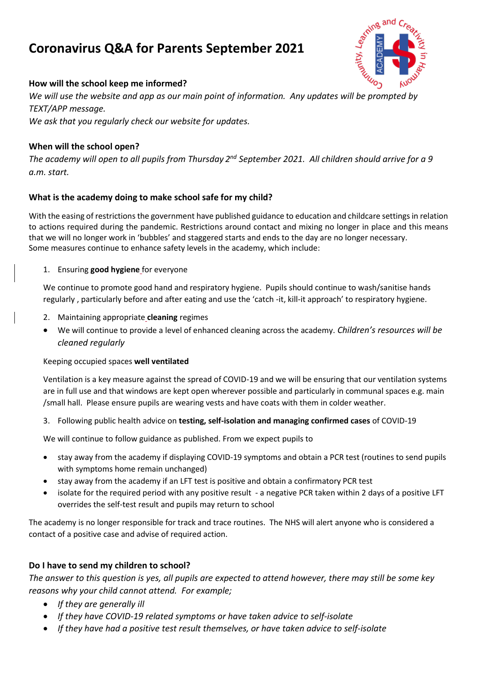# **Coronavirus Q&A for Parents September 2021**



### **How will the school keep me informed?**

*We will use the website and app as our main point of information. Any updates will be prompted by TEXT/APP message. We ask that you regularly check our website for updates.*

## **When will the school open?**

The academy will open to all pupils from Thursday 2<sup>nd</sup> September 2021. All children should arrive for a 9 *a.m. start.*

#### **What is the academy doing to make school safe for my child?**

With the easing of restrictions the government have published guidance to education and childcare settings in relation to actions required during the pandemic. Restrictions around contact and mixing no longer in place and this means that we will no longer work in 'bubbles' and staggered starts and ends to the day are no longer necessary. Some measures continue to enhance safety levels in the academy, which include:

1. Ensuring **good hygiene** for everyone

We continue to promote good hand and respiratory hygiene. Pupils should continue to wash/sanitise hands regularly , particularly before and after eating and use the 'catch -it, kill-it approach' to respiratory hygiene.

- 2. Maintaining appropriate **cleaning** regimes
- We will continue to provide a level of enhanced cleaning across the academy. *Children's resources will be cleaned regularly*

#### Keeping occupied spaces **well ventilated**

Ventilation is a key measure against the spread of COVID-19 and we will be ensuring that our ventilation systems are in full use and that windows are kept open wherever possible and particularly in communal spaces e.g. main /small hall. Please ensure pupils are wearing vests and have coats with them in colder weather.

3. Following public health advice on **testing, self-isolation and managing confirmed cases** of COVID-19

We will continue to follow guidance as published. From we expect pupils to

- stay away from the academy if displaying COVID-19 symptoms and obtain a PCR test (routines to send pupils with symptoms home remain unchanged)
- stay away from the academy if an LFT test is positive and obtain a confirmatory PCR test
- isolate for the required period with any positive result a negative PCR taken within 2 days of a positive LFT overrides the self-test result and pupils may return to school

The academy is no longer responsible for track and trace routines. The NHS will alert anyone who is considered a contact of a positive case and advise of required action.

#### **Do I have to send my children to school?**

The answer to this question is yes, all pupils are expected to attend however, there may still be some key *reasons why your child cannot attend. For example;*

- *If they are generally ill*
- *If they have COVID-19 related symptoms or have taken advice to self-isolate*
- *If they have had a positive test result themselves, or have taken advice to self-isolate*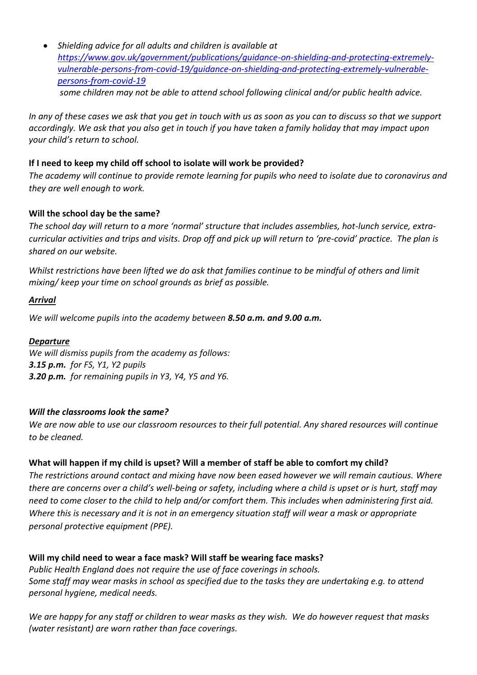• *Shielding advice for all adults and children is available at [https://www.gov.uk/government/publications/guidance-on-shielding-and-protecting-extremely](https://www.gov.uk/government/publications/guidance-on-shielding-and-protecting-extremely-vulnerable-persons-from-covid-19/guidance-on-shielding-and-protecting-extremely-vulnerable-persons-from-covid-19)[vulnerable-persons-from-covid-19/guidance-on-shielding-and-protecting-extremely-vulnerable](https://www.gov.uk/government/publications/guidance-on-shielding-and-protecting-extremely-vulnerable-persons-from-covid-19/guidance-on-shielding-and-protecting-extremely-vulnerable-persons-from-covid-19)[persons-from-covid-19](https://www.gov.uk/government/publications/guidance-on-shielding-and-protecting-extremely-vulnerable-persons-from-covid-19/guidance-on-shielding-and-protecting-extremely-vulnerable-persons-from-covid-19) some children may not be able to attend school following clinical and/or public health advice.* 

In any of these cases we ask that you get in touch with us as soon as you can to discuss so that we support accordingly. We ask that you also get in touch if you have taken a family holiday that may impact upon *your child's return to school.*

#### **If I need to keep my child off school to isolate will work be provided?**

The academy will continue to provide remote learning for pupils who need to isolate due to coronavirus and *they are well enough to work.* 

## **Will the school day be the same?**

*The school day will return to a more 'normal' structure that includes assemblies, hot-lunch service, extracurricular activities and trips and visits. Drop off and pick up will return to 'pre-covid' practice. The plan is shared on our website.* 

*Whilst restrictions have been lifted we do ask that families continue to be mindful of others and limit mixing/ keep your time on school grounds as brief as possible.*

#### *Arrival*

*We will welcome pupils into the academy between 8.50 a.m. and 9.00 a.m.*

#### *Departure*

*We will dismiss pupils from the academy as follows: 3.15 p.m. for FS, Y1, Y2 pupils 3.20 p.m. for remaining pupils in Y3, Y4, Y5 and Y6.*

## *Will the classrooms look the same?*

*We are now able to use our classroom resources to their full potential. Any shared resources will continue to be cleaned.*

## **What will happen if my child is upset? Will a member of staff be able to comfort my child?**

*The restrictions around contact and mixing have now been eased however we will remain cautious. Where there are concerns over a child's well-being or safety, including where a child is upset or is hurt, staff may need to come closer to the child to help and/or comfort them. This includes when administering first aid. Where this is necessary and it is not in an emergency situation staff will wear a mask or appropriate personal protective equipment (PPE).* 

# **Will my child need to wear a face mask? Will staff be wearing face masks?** *Public Health England does not require the use of face coverings in schools. Some staff may wear masks in school as specified due to the tasks they are undertaking e.g. to attend personal hygiene, medical needs.*

*We are happy for any staff or children to wear masks as they wish. We do however request that masks (water resistant) are worn rather than face coverings.*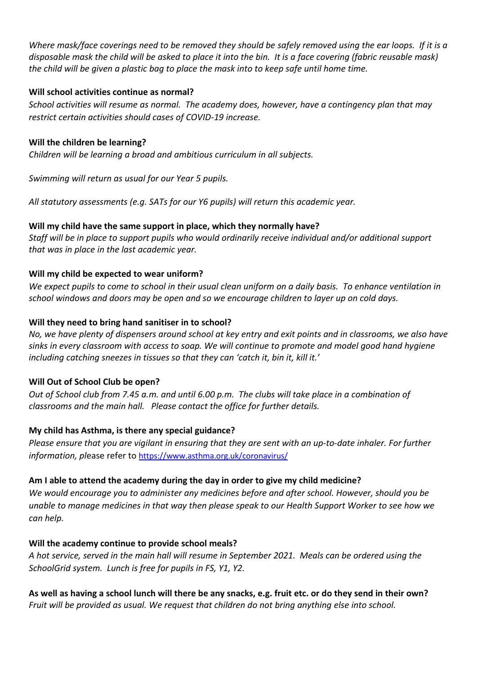*Where mask/face coverings need to be removed they should be safely removed using the ear loops. If it is a disposable mask the child will be asked to place it into the bin. It is a face covering (fabric reusable mask) the child will be given a plastic bag to place the mask into to keep safe until home time.*

#### **Will school activities continue as normal?**

*School activities will resume as normal. The academy does, however, have a contingency plan that may restrict certain activities should cases of COVID-19 increase.*

## **Will the children be learning?**

*Children will be learning a broad and ambitious curriculum in all subjects.*

*Swimming will return as usual for our Year 5 pupils.*

*All statutory assessments (e.g. SATs for our Y6 pupils) will return this academic year.*

## **Will my child have the same support in place, which they normally have?**

*Staff will be in place to support pupils who would ordinarily receive individual and/or additional support that was in place in the last academic year.*

## **Will my child be expected to wear uniform?**

We expect pupils to come to school in their usual clean uniform on a daily basis. To enhance ventilation in *school windows and doors may be open and so we encourage children to layer up on cold days.*

## **Will they need to bring hand sanitiser in to school?**

No, we have plenty of dispensers around school at key entry and exit points and in classrooms, we also have sinks in every classroom with access to soap. We will continue to promote and model good hand hygiene *including catching sneezes in tissues so that they can 'catch it, bin it, kill it.'*

#### **Will Out of School Club be open?**

Out of School club from 7.45 a.m. and until 6.00 p.m. The clubs will take place in a combination of *classrooms and the main hall. Please contact the office for further details.*

## **My child has Asthma, is there any special guidance?**

*Please ensure that you are vigilant in ensuring that they are sent with an up-to-date inhaler. For further information, pl*ease refer to <https://www.asthma.org.uk/coronavirus/>

## **Am I able to attend the academy during the day in order to give my child medicine?**

*We would encourage you to administer any medicines before and after school. However, should you be unable to manage medicines in that way then please speak to our Health Support Worker to see how we can help.*

## **Will the academy continue to provide school meals?**

*A hot service, served in the main hall will resume in September 2021. Meals can be ordered using the SchoolGrid system. Lunch is free for pupils in FS, Y1, Y2.*

As well as having a school lunch will there be any snacks, e.g. fruit etc, or do they send in their own? *Fruit will be provided as usual. We request that children do not bring anything else into school.*